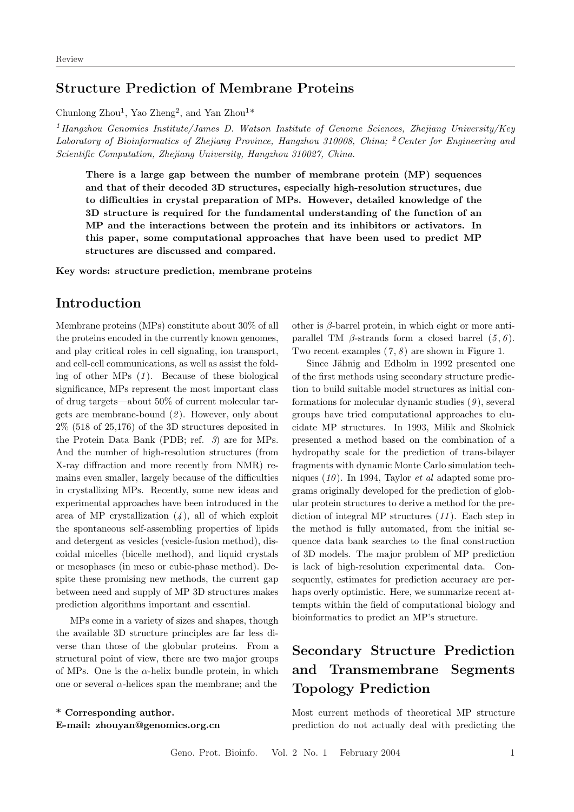#### Structure Prediction of Membrane Proteins

Chunlong  $Zhou<sup>1</sup>$ , Yao  $Zheng<sup>2</sup>$ , and Yan  $Zhou<sup>1</sup>$ 

<sup>1</sup> Hangzhou Genomics Institute/James D. Watson Institute of Genome Sciences, Zhejiang University/Key Laboratory of Bioinformatics of Zhejiang Province, Hangzhou 310008, China; <sup>2</sup> Center for Engineering and Scientific Computation, Zhejiang University, Hangzhou 310027, China.

There is a large gap between the number of membrane protein (MP) sequences and that of their decoded 3D structures, especially high-resolution structures, due to difficulties in crystal preparation of MPs. However, detailed knowledge of the 3D structure is required for the fundamental understanding of the function of an MP and the interactions between the protein and its inhibitors or activators. In this paper, some computational approaches that have been used to predict MP structures are discussed and compared.

Key words: structure prediction, membrane proteins

### Introduction

Membrane proteins (MPs) constitute about 30% of all the proteins encoded in the currently known genomes, and play critical roles in cell signaling, ion transport, and cell-cell communications, as well as assist the folding of other MPs  $(1)$ . Because of these biological significance, MPs represent the most important class of drug targets—about 50% of current molecular targets are membrane-bound  $(2)$ . However, only about 2% (518 of 25,176) of the 3D structures deposited in the Protein Data Bank (PDB; ref. 3) are for MPs. And the number of high-resolution structures (from X-ray diffraction and more recently from NMR) remains even smaller, largely because of the difficulties in crystallizing MPs. Recently, some new ideas and experimental approaches have been introduced in the area of MP crystallization  $(4)$ , all of which exploit the spontaneous self-assembling properties of lipids and detergent as vesicles (vesicle-fusion method), discoidal micelles (bicelle method), and liquid crystals or mesophases (in meso or cubic-phase method). Despite these promising new methods, the current gap between need and supply of MP 3D structures makes prediction algorithms important and essential.

MPs come in a variety of sizes and shapes, though the available 3D structure principles are far less diverse than those of the globular proteins. From a structural point of view, there are two major groups of MPs. One is the  $\alpha$ -helix bundle protein, in which one or several  $\alpha$ -helices span the membrane; and the

\* Corresponding author. E-mail: zhouyan@genomics.org.cn other is  $\beta$ -barrel protein, in which eight or more antiparallel TM  $\beta$ -strands form a closed barrel  $(5, 6)$ . Two recent examples  $(7, 8)$  are shown in Figure 1.

Since Jähnig and Edholm in 1992 presented one of the first methods using secondary structure prediction to build suitable model structures as initial conformations for molecular dynamic studies  $(9)$ , several groups have tried computational approaches to elucidate MP structures. In 1993, Milik and Skolnick presented a method based on the combination of a hydropathy scale for the prediction of trans-bilayer fragments with dynamic Monte Carlo simulation techniques  $(10)$ . In 1994, Taylor *et al* adapted some programs originally developed for the prediction of globular protein structures to derive a method for the prediction of integral MP structures (11 ). Each step in the method is fully automated, from the initial sequence data bank searches to the final construction of 3D models. The major problem of MP prediction is lack of high-resolution experimental data. Consequently, estimates for prediction accuracy are perhaps overly optimistic. Here, we summarize recent attempts within the field of computational biology and bioinformatics to predict an MP's structure.

# Secondary Structure Prediction and Transmembrane Segments Topology Prediction

Most current methods of theoretical MP structure prediction do not actually deal with predicting the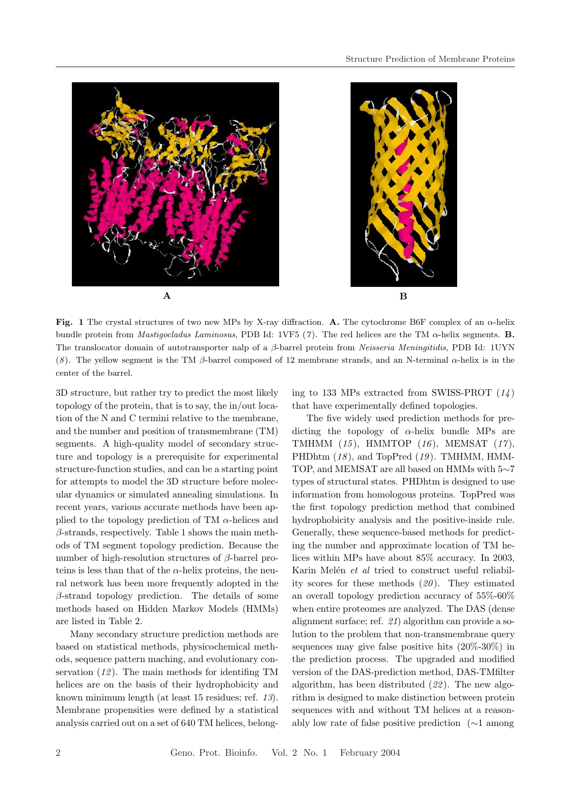



Fig. 1 The crystal structures of two new MPs by X-ray diffraction. A. The cytochrome B6F complex of an  $\alpha$ -helix bundle protein from *Mastigocladus Laminosus*, PDB Id: 1VF5 (7). The red helices are the TM  $\alpha$ -helix segments. **B.** The translocator domain of autotransporter nalp of a β-barrel protein from Neisseria Meningitidis, PDB Id: 1UYN (8). The yellow segment is the TM  $\beta$ -barrel composed of 12 membrane strands, and an N-terminal  $\alpha$ -helix is in the center of the barrel.

3D structure, but rather try to predict the most likely topology of the protein, that is to say, the in/out location of the N and C termini relative to the membrane, and the number and position of transmembrane (TM) segments. A high-quality model of secondary structure and topology is a prerequisite for experimental structure-function studies, and can be a starting point for attempts to model the 3D structure before molecular dynamics or simulated annealing simulations. In recent years, various accurate methods have been applied to the topology prediction of TM  $\alpha$ -helices and  $\beta$ -strands, respectively. Table 1 shows the main methods of TM segment topology prediction. Because the number of high-resolution structures of β-barrel proteins is less than that of the  $\alpha$ -helix proteins, the neural network has been more frequently adopted in the  $\beta$ -strand topology prediction. The details of some methods based on Hidden Markov Models (HMMs) are listed in Table 2.

Many secondary structure prediction methods are based on statistical methods, physicochemical methods, sequence pattern maching, and evolutionary conservation  $(12)$ . The main methods for identifing TM helices are on the basis of their hydrophobicity and known minimum length (at least 15 residues; ref. 13). Membrane propensities were defined by a statistical analysis carried out on a set of 640 TM helices, belonging to 133 MPs extracted from SWISS-PROT  $(14)$ that have experimentally defined topologies.

The five widely used prediction methods for predicting the topology of  $\alpha$ -helix bundle MPs are TMHMM  $(15)$ , HMMTOP  $(16)$ , MEMSAT  $(17)$ , PHDhtm  $(18)$ , and TopPred  $(19)$ . TMHMM, HMM-TOP, and MEMSAT are all based on HMMs with 5∼7 types of structural states. PHDhtm is designed to use information from homologous proteins. TopPred was the first topology prediction method that combined hydrophobicity analysis and the positive-inside rule. Generally, these sequence-based methods for predicting the number and approximate location of TM helices within MPs have about 85% accuracy. In 2003, Karin Melén et al tried to construct useful reliability scores for these methods  $(20)$ . They estimated an overall topology prediction accuracy of 55%-60% when entire proteomes are analyzed. The DAS (dense alignment surface; ref. 21) algorithm can provide a solution to the problem that non-transmembrane query sequences may give false positive hits (20%-30%) in the prediction process. The upgraded and modified version of the DAS-prediction method, DAS-TMfilter algorithm, has been distributed  $(22)$ . The new algorithm is designed to make distinction between protein sequences with and without TM helices at a reasonably low rate of false positive prediction (∼1 among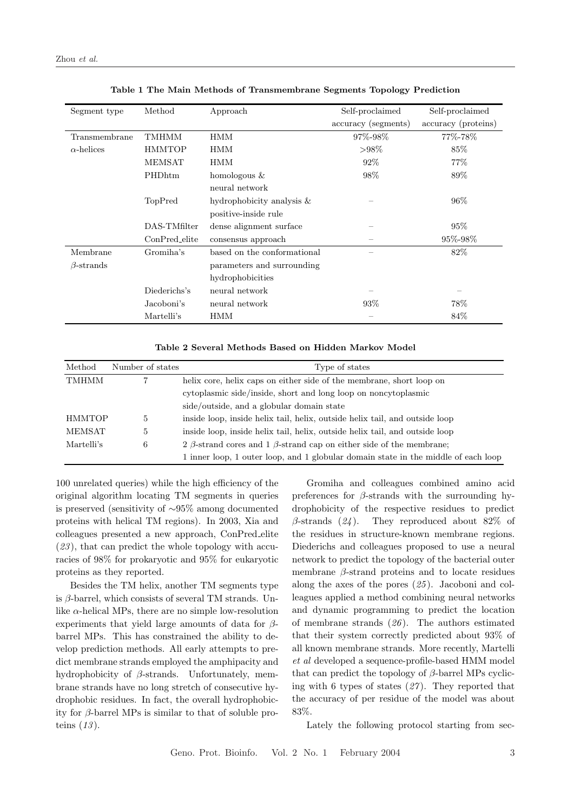| Segment type      | Method        | Approach                     | Self-proclaimed     | Self-proclaimed     |  |
|-------------------|---------------|------------------------------|---------------------|---------------------|--|
|                   |               |                              | accuracy (segments) | accuracy (proteins) |  |
| Transmembrane     | TMHMM         | <b>HMM</b>                   | 97%-98%             | 77%-78%             |  |
| $\alpha$ -helices | <b>HMMTOP</b> | HMM                          | $>98\%$             | 85%                 |  |
|                   | MEMSAT        | HMM                          | 92\%                | 77\%                |  |
|                   | PHDhtm        | homologous &                 | 98%                 | 89%                 |  |
|                   |               | neural network               |                     |                     |  |
|                   | TopPred       | hydrophobicity analysis $\&$ |                     | $96\%$              |  |
|                   |               | positive-inside rule         |                     |                     |  |
|                   | DAS-TMfilter  | dense alignment surface      |                     | 95%                 |  |
|                   | ConPred_elite | consensus approach           |                     | 95\%-98\%           |  |
| Membrane          | Gromiha's     | based on the conformational  |                     | 82\%                |  |
| $\beta$ -strands  |               | parameters and surrounding   |                     |                     |  |
|                   |               | hydrophobicities             |                     |                     |  |
|                   | Diederichs's  | neural network               |                     |                     |  |
|                   | Jacoboni's    | neural network               | 93%                 | 78%                 |  |
|                   | Martelli's    | HMM                          |                     | 84\%                |  |

Table 1 The Main Methods of Transmembrane Segments Topology Prediction

| Table 2 Several Methods Based on Hidden Markov Model |  |  |  |  |  |  |  |  |  |
|------------------------------------------------------|--|--|--|--|--|--|--|--|--|
|------------------------------------------------------|--|--|--|--|--|--|--|--|--|

| Method        | Number of states | Type of states                                                                     |
|---------------|------------------|------------------------------------------------------------------------------------|
| <b>TMHMM</b>  |                  | helix core, helix caps on either side of the membrane, short loop on               |
|               |                  | cytoplasmic side/inside, short and long loop on noncytoplasmic                     |
|               |                  | side/outside, and a globular domain state                                          |
| <b>HMMTOP</b> | 5.               | inside loop, inside helix tail, helix, outside helix tail, and outside loop        |
| MEMSAT        | $\mathcal{L}$    | inside loop, inside helix tail, helix, outside helix tail, and outside loop        |
| Martelli's    | 6                | 2 $\beta$ -strand cores and 1 $\beta$ -strand cap on either side of the membrane;  |
|               |                  | 1 inner loop, 1 outer loop, and 1 globular domain state in the middle of each loop |

100 unrelated queries) while the high efficiency of the original algorithm locating TM segments in queries is preserved (sensitivity of ∼95% among documented proteins with helical TM regions). In 2003, Xia and colleagues presented a new approach, ConPred elite  $(23)$ , that can predict the whole topology with accuracies of 98% for prokaryotic and 95% for eukaryotic proteins as they reported.

Besides the TM helix, another TM segments type is  $\beta$ -barrel, which consists of several TM strands. Unlike  $\alpha$ -helical MPs, there are no simple low-resolution experiments that yield large amounts of data for  $\beta$ barrel MPs. This has constrained the ability to develop prediction methods. All early attempts to predict membrane strands employed the amphipacity and hydrophobicity of β-strands. Unfortunately, membrane strands have no long stretch of consecutive hydrophobic residues. In fact, the overall hydrophobicity for  $\beta$ -barrel MPs is similar to that of soluble proteins  $(13)$ .

Gromiha and colleagues combined amino acid preferences for  $\beta$ -strands with the surrounding hydrophobicity of the respective residues to predict  $\beta$ -strands (24). They reproduced about 82\% of the residues in structure-known membrane regions. Diederichs and colleagues proposed to use a neural network to predict the topology of the bacterial outer membrane  $\beta$ -strand proteins and to locate residues along the axes of the pores  $(25)$ . Jacoboni and colleagues applied a method combining neural networks and dynamic programming to predict the location of membrane strands  $(26)$ . The authors estimated that their system correctly predicted about 93% of all known membrane strands. More recently, Martelli et al developed a sequence-profile-based HMM model that can predict the topology of  $\beta$ -barrel MPs cyclicing with 6 types of states  $(27)$ . They reported that the accuracy of per residue of the model was about 83%.

Lately the following protocol starting from sec-

Geno. Prot. Bioinfo. Vol. 2 No. 1 February 2004 3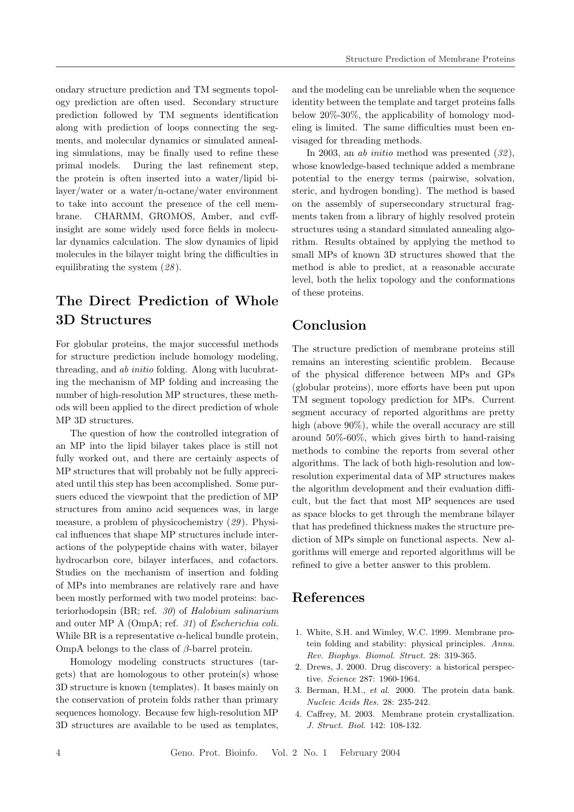ondary structure prediction and TM segments topology prediction are often used. Secondary structure prediction followed by TM segments identification along with prediction of loops connecting the segments, and molecular dynamics or simulated annealing simulations, may be finally used to refine these primal models. During the last refinement step, the protein is often inserted into a water/lipid bilayer/water or a water/n-octane/water environment to take into account the presence of the cell membrane. CHARMM, GROMOS, Amber, and cvffinsight are some widely used force fields in molecular dynamics calculation. The slow dynamics of lipid molecules in the bilayer might bring the difficulties in equilibrating the system (28 ).

## The Direct Prediction of Whole 3D Structures

For globular proteins, the major successful methods for structure prediction include homology modeling, threading, and ab initio folding. Along with lucubrating the mechanism of MP folding and increasing the number of high-resolution MP structures, these methods will been applied to the direct prediction of whole MP 3D structures.

The question of how the controlled integration of an MP into the lipid bilayer takes place is still not fully worked out, and there are certainly aspects of MP structures that will probably not be fully appreciated until this step has been accomplished. Some pursuers educed the viewpoint that the prediction of MP structures from amino acid sequences was, in large measure, a problem of physicochemistry (29 ). Physical influences that shape MP structures include interactions of the polypeptide chains with water, bilayer hydrocarbon core, bilayer interfaces, and cofactors. Studies on the mechanism of insertion and folding of MPs into membranes are relatively rare and have been mostly performed with two model proteins: bacteriorhodopsin (BR; ref. 30) of Halobium salinarium and outer MP A (OmpA; ref. 31) of Escherichia coli. While BR is a representative  $\alpha$ -helical bundle protein, OmpA belongs to the class of  $\beta$ -barrel protein.

Homology modeling constructs structures (targets) that are homologous to other protein(s) whose 3D structure is known (templates). It bases mainly on the conservation of protein folds rather than primary sequences homology. Because few high-resolution MP 3D structures are available to be used as templates,

and the modeling can be unreliable when the sequence identity between the template and target proteins falls below 20%-30%, the applicability of homology modeling is limited. The same difficulties must been envisaged for threading methods.

In 2003, an *ab initio* method was presented  $(32)$ , whose knowledge-based technique added a membrane potential to the energy terms (pairwise, solvation, steric, and hydrogen bonding). The method is based on the assembly of supersecondary structural fragments taken from a library of highly resolved protein structures using a standard simulated annealing algorithm. Results obtained by applying the method to small MPs of known 3D structures showed that the method is able to predict, at a reasonable accurate level, both the helix topology and the conformations of these proteins.

### Conclusion

The structure prediction of membrane proteins still remains an interesting scientific problem. Because of the physical difference between MPs and GPs (globular proteins), more efforts have been put upon TM segment topology prediction for MPs. Current segment accuracy of reported algorithms are pretty high (above 90%), while the overall accuracy are still around 50%-60%, which gives birth to hand-raising methods to combine the reports from several other algorithms. The lack of both high-resolution and lowresolution experimental data of MP structures makes the algorithm development and their evaluation difficult, but the fact that most MP sequences are used as space blocks to get through the membrane bilayer that has predefined thickness makes the structure prediction of MPs simple on functional aspects. New algorithms will emerge and reported algorithms will be refined to give a better answer to this problem.

### References

- 1. White, S.H. and Wimley, W.C. 1999. Membrane protein folding and stability: physical principles. Annu. Rev. Biophys. Biomol. Struct. 28: 319-365.
- 2. Drews, J. 2000. Drug discovery: a historical perspective. Science 287: 1960-1964.
- 3. Berman, H.M., et al. 2000. The protein data bank. Nucleic Acids Res. 28: 235-242.
- 4. Caffrey, M. 2003. Membrane protein crystallization. J. Struct. Biol. 142: 108-132.